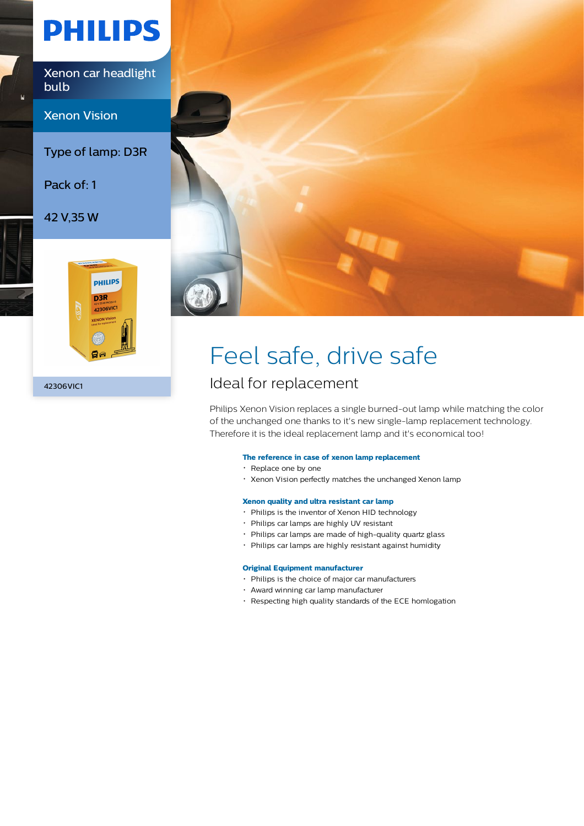# **PHILIPS**

Xenon car headlight bulb

Xenon Vision

Type of lamp: D3R

Pack of: 1

42 V,35 W



42306VIC1



## Feel safe, drive safe

### Ideal for replacement

Philips Xenon Vision replaces a single burned-out lamp while matching the color of the unchanged one thanks to it's new single-lamp replacement technology. Therefore it is the ideal replacement lamp and it's economical too!

#### **The reference in case of xenon lamp replacement**

- Replace one by one
- Xenon Vision perfectly matches the unchanged Xenon lamp

#### **Xenon quality and ultra resistant car lamp**

- Philips is the inventor of Xenon HID technology
- Philips car lamps are highly UV resistant
- Philips car lamps are made of high-quality quartz glass
- Philips car lamps are highly resistant against humidity

#### **Original Equipment manufacturer**

- Philips is the choice of major car manufacturers
- Award winning car lamp manufacturer
- Respecting high quality standards of the ECE homlogation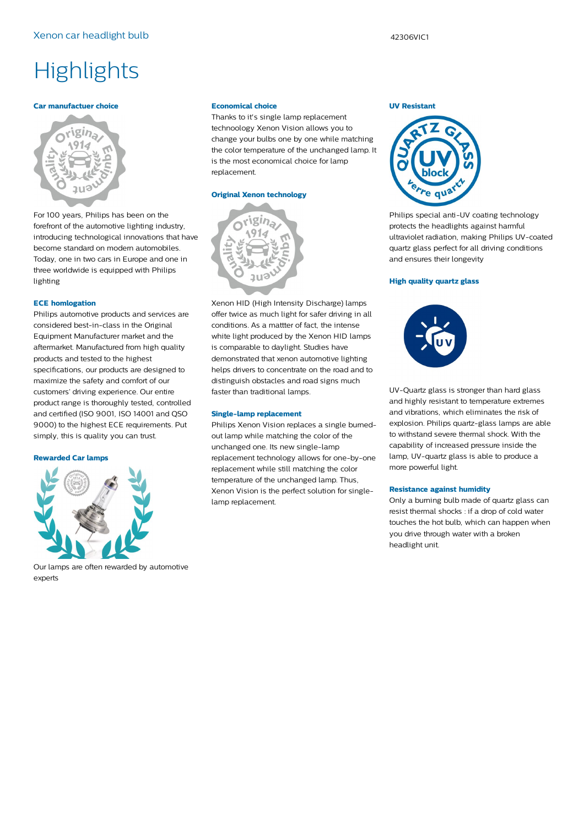#### **Car manufactuer choice**



For 100 years, Philips has been on the forefront of the automotive lighting industry, introducing technological innovations that have become standard on modern automobiles. Today, one in two cars in Europe and one in three worldwide is equipped with Philips lighting

#### **ECE homlogation**

Philips automotive products and services are considered best-in-class in the Original Equipment Manufacturer market and the aftermarket. Manufactured from high quality products and tested to the highest specifications, our products are designed to maximize the safety and comfort of our customers' driving experience. Our entire product range is thoroughly tested, controlled and certified (ISO 9001, ISO 14001 and QSO 9000) to the highest ECE requirements. Put simply, this is quality you can trust.

#### **Rewarded Car lamps**



Our lamps are often rewarded by automotive experts

#### **Economical choice**

Thanks to it's single lamp replacement technoology Xenon Vision allows you to change your bulbs one by one while matching the color temperature of the unchanged lamp. It is the most economical choice for lamp replacement.

#### **Original Xenon technology**



Xenon HID (High Intensity Discharge) lamps offer twice as much light for safer driving in all conditions. As a mattter of fact, the intense white light produced by the Xenon HID lamps is comparable to daylight. Studies have demonstrated that xenon automotive lighting helps drivers to concentrate on the road and to distinguish obstacles and road signs much faster than traditional lamps.

#### **Single-lamp replacement**

Philips Xenon Vision replaces a single burnedout lamp while matching the color of the unchanged one. Its new single-lamp replacement technology allows for one-by-one replacement while still matching the color temperature of the unchanged lamp. Thus, Xenon Vision is the perfect solution for singlelamp replacement.

#### **UV Resistant**



Philips special anti-UV coating technology protects the headlights against harmful ultraviolet radiation, making Philips UV-coated quartz glass perfect for all driving conditions and ensures their longevity

#### **High quality quartz glass**



UV-Quartz glass is stronger than hard glass and highly resistant to temperature extremes and vibrations, which eliminates the risk of explosion. Philips quartz-glass lamps are able to withstand severe thermal shock. With the capability of increased pressure inside the lamp, UV-quartz glass is able to produce a more powerful light.

#### **Resistance against humidity**

Only a burning bulb made of quartz glass can resist thermal shocks : if a drop of cold water touches the hot bulb, which can happen when you drive through water with a broken headlight unit.